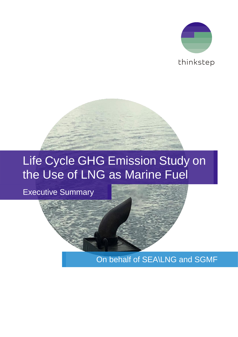

# Life Cycle GHG Emission Study on the Use of LNG as Marine Fuel

Executive Summary

On behalf of SEA\LNG and SGMF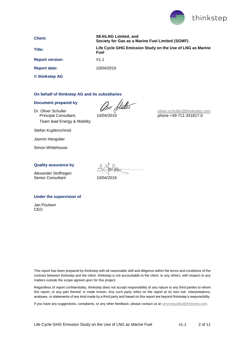

**Client: SEA\LNG Limited, and Society for Gas as a Marine Fuel Limited (SGMF) Title: Life Cycle GHG Emission Study on the Use of LNG as Marine Fuel**

**Report version:** V1.1

**Report date:** 10/04/2019

**© thinkstep AG**

#### **On behalf of thinkstep AG and its subsidiaries**

#### **Document prepared by**

Dr. Oliver Schuller Soliver Schuller<br>
Principal Consultant, 10/04/2019 Team lead Energy & Mobility

[oliver.schuller@thinkstep.com](mailto:oliver.schuller@thinkstep.com) phone +49-711-341817-0

Stefan Kupferschmid

Jasmin Hengstler

Simon Whitehouse

#### **Quality assurance by**

Alexander Stoffregen Senior Consultant 10/04/2019

#### **Under the supervision of**

Jan Poulsen CEO

This report has been prepared by thinkstep with all reasonable skill and diligence within the terms and conditions of the contract between thinkstep and the client. thinkstep is not accountable to the client, or any others, with respect to any matters outside the scope agreed upon for this project.

Regardless of report confidentiality, thinkstep does not accept responsibility of any nature to any third parties to whom this report, or any part thereof, is made known. Any such party relies on the report at its own risk. Interpretations, analyses, or statements of any kind made by a third party and based on this report are beyond thinkstep's responsibility.

If you have any suggestions, complaints, or any other feedback, please contact us at [servicequality@thinkstep.com.](mailto:servicequality@pe-international.com)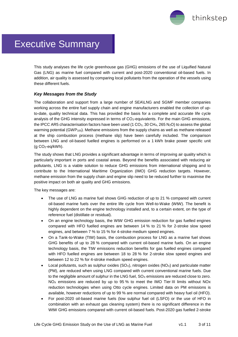thinkstep

## Executive Summary

This study analyses the life cycle greenhouse gas (GHG) emissions of the use of Liquified Natural Gas (LNG) as marine fuel compared with current and post-2020 conventional oil-based fuels. In addition, air quality is assessed by comparing local pollutants from the operation of the vessels using these different fuels.

#### *Key Messages from the Study*

The collaboration and support from a large number of SEA\LNG and SGMF member companies working across the entire fuel supply chain and engine manufacturers enabled the collection of upto-date, quality technical data. This has provided the basis for a complete and accurate life cycle analysis of the GHG intensity expressed in terms of  $CO<sub>2</sub>$ -equivalents. For the main GHG emissions, the IPCC AR5 characterisation factors have been used (1 CO<sub>2</sub>, 30 CH<sub>4</sub>, 265 N<sub>2</sub>O) to assess the global warming potential  $(GWP_{100})$ . Methane emissions from the supply chains as well as methane released at the ship combustion process (methane slip) have been carefully included. The comparison between LNG and oil-based fuelled engines is performed on a 1 kWh brake power specific unit (g CO2-eq/kWh).

The study shows that LNG provides a significant advantage in terms of improving air quality which is particularly important in ports and coastal areas. Beyond the benefits associated with reducing air pollutants, LNG is a viable solution to reduce GHG emissions from international shipping and to contribute to the International Maritime Organization (IMO) GHG reduction targets. However, methane emission from the supply chain and engine slip need to be reduced further to maximise the positive impact on both air quality and GHG emissions.

The key messages are:

- The use of LNG as marine fuel shows GHG reduction of up to 21 % compared with current oil-based marine fuels over the entire life cycle from Well-to-Wake (WtW). The benefit is highly dependent on the engine technology installed and, to a certain extent, on the type of reference fuel (distillate or residual).
- On an engine technology basis, the WtW GHG emission reduction for gas fuelled engines compared with HFO fuelled engines are between 14 % to 21 % for 2-stroke slow speed engines, and between 7 % to 15 % for 4-stroke medium speed engines.
- On a Tank-to-Wake (TtW) basis, the combustion process for LNG as a marine fuel shows GHG benefits of up to 28 % compared with current oil-based marine fuels. On an engine technology basis, the TtW emissions reduction benefits for gas fuelled engines compared with HFO fuelled engines are between 18 to 28 % for 2-stroke slow speed engines and between 12 to 22 % for 4-stroke medium speed engines.
- Local pollutants, such as sulphur oxides ( $SO<sub>X</sub>$ ), nitrogen oxides ( $NO<sub>X</sub>$ ) and particulate matter (PM), are reduced when using LNG compared with current conventional marine fuels. Due to the negligible amount of sulphur in the LNG fuel,  $SO_\chi$  emissions are reduced close to zero.  $NO<sub>x</sub>$  emissions are reduced by up to 95 % to meet the IMO Tier III limits without NOx reduction technologies when using Otto cycle engines. Limited data on PM emissions is available, however reductions of up to 99 % are normal compared with heavy fuel oil (HFO).
- For post-2020 oil-based marine fuels (low sulphur fuel oil (LSFO) or the use of HFO in combination with an exhaust gas cleaning system) there is no significant difference in the WtW GHG emissions compared with current oil-based fuels. Post-2020 gas fuelled 2-stroke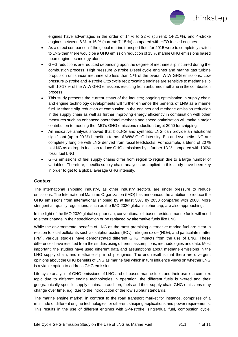

engines have advantages in the order of 14 % to 22 % (current: 14-21 %), and 4-stroke engines between 6 % to 16 % (current: 7-15 %) compared with HFO fuelled engines.

- As a direct comparison if the global marine transport fleet for 2015 were to completely switch to LNG then there would be a GHG emission reduction of 15 % marine GHG emissions based upon engine technology alone.
- GHG reductions are reduced depending upon the degree of methane slip incurred during the combustion process. High pressure 2-stroke Diesel cycle engines and marine gas turbine propulsion units incur methane slip less than 1 % of the overall WtW GHG emissions. Low pressure 2-stroke and 4-stroke Otto cycle reciprocating engines are sensitive to methane slip with 10-17 % of the WtW GHG emissions resulting from unburned methane in the combustion process.
- This study presents the current status of the industry; ongoing optimisation in supply chain and engine technology developments will further enhance the benefits of LNG as a marine fuel. Methane slip reduction at combustion in the engines and methane emission reduction in the supply chain as well as further improving energy efficiency in combination with other measures such as enhanced operational methods and speed optimisation will make a major contribution to meeting the IMO's GHG emissions reduction target 2050 for shipping.
- An indicative analysis showed that bioLNG and synthetic LNG can provide an additional significant (up to 90 %) benefit in terms of WtW GHG intensity. Bio and synthetic LNG are completely fungible with LNG derived from fossil feedstocks. For example, a blend of 20 % bioLNG as a drop-in fuel can reduce GHG emissions by a further 13 % compared with 100% fossil fuel LNG.
- GHG emissions of fuel supply chains differ from region to region due to a large number of variables. Therefore, specific supply chain analyses as applied in this study have been key in order to get to a global average GHG intensity.

#### *Context*

The international shipping industry, as other industry sectors, are under pressure to reduce emissions. The International Maritime Organization (IMO) has announced the ambition to reduce the GHG emissions from international shipping by at least 50% by 2050 compared with 2008. More stringent air quality regulations, such as the IMO 2020 global sulphur cap, are also approaching.

In the light of the IMO 2020 global sulphur cap, conventional oil-based residual marine fuels will need to either change in their specification or be replaced by alternative fuels like LNG.

While the environmental benefits of LNG as the most promising alternative marine fuel are clear in relation to local pollutants such as sulphur oxides  $(SO<sub>x</sub>)$ , nitrogen oxide  $(NO<sub>x</sub>)$ , and particulate matter (PM), various studies have demonstrated different GHG impacts from the use of LNG. These differences have resulted from the studies using different assumptions, methodologies and data. Most important, the studies have used different data and assumptions about methane emissions in the LNG supply chain, and methane slip in ship engines. The end result is that there are divergent opinions about the GHG benefits of LNG as marine fuel which in turn influence views on whether LNG is a viable option to address GHG emissions.

Life cycle analysis of GHG emissions of LNG and oil-based marine fuels and their use is a complex topic due to different engine technologies in operation, the different fuels bunkered and their geographically specific supply chains. In addition, fuels and their supply chain GHG emissions may change over time, e.g. due to the introduction of the low sulphur standards.

The marine engine market, in contrast to the road transport market for instance, comprises of a multitude of different engine technologies for different shipping applications and power requirements. This results in the use of different engines with 2-/4-stroke, single/dual fuel, combustion cycle,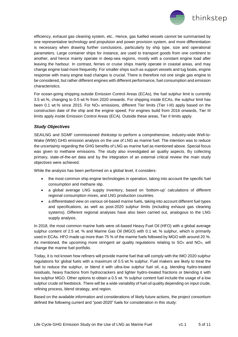

efficiency, exhaust gas cleaning system, etc.. Hence, gas fuelled vessels cannot be summarised by one representative technology and propulsion and power provision system, and more differentiation is necessary when drawing further conclusions, particularly by ship type, size and operational parameters. Large container ships for instance, are used to transport goods from one continent to another, and hence mainly operate in deep-sea regions, mostly with a constant engine load after leaving the harbour. In contrast, ferries or cruise ships mainly operate in coastal areas, and may change engine load more frequently. For smaller ships such as support vessels and tug boats, engine response with many engine load changes is crucial. There is therefore not one single gas engine to be considered, but rather different engines with different performance, fuel consumption and emission characteristics.

For ocean-going shipping outside Emission Control Areas (ECAs), the fuel sulphur limit is currently 3.5 wt.%, changing to 0.5 wt.% from 2020 onwards. For shipping inside ECAs, the sulphur limit has been 0.1 wt.% since 2015. For NO<sub>x</sub> emissions, different Tier limits (Tier I-III) apply based on the construction date of the ship and the engine speed. For engines build from 2016 onwards, Tier III limits apply inside Emission Control Areas (ECA). Outside these areas, Tier II limits apply.

#### *Study Objectives*

SEA\LNG and SGMF commissioned *thinkstep* to perform a comprehensive, industry-wide Well-to-Wake (WtW) GHG emission analysis on the use of LNG as marine fuel. The intention was to reduce the uncertainty regarding the GHG benefits of LNG as marine fuel as mentioned above. Special focus was given to methane emissions. The study also investigated air quality aspects. By collecting primary, state-of-the-art data and by the integration of an external critical review the main study objectives were achieved.

While the analysis has been performed on a global level, it considers:

- the most common ship engine technologies in operation, taking into account the specific fuel consumption and methane slip.
- a global average LNG supply inventory, based on 'bottom-up' calculations of different regional consumption mixes, and LNG production countries.
- a differentiated view on various oil-based marine fuels, taking into account different fuel types and specifications, as well as post-2020 sulphur limits (including exhaust gas cleaning systems). Different regional analyses have also been carried out, analogous to the LNG supply analysis.

In 2018, the most common marine fuels were oil-based Heavy Fuel Oil (HFO) with a global average sulphur content of 2.5 wt. % and Marine Gas Oil (MGO) with 0.1 wt. % sulphur, which is primarily used in ECAs. HFO made up more than 75 % of the marine fuels followed by MGO with around 20 %. As mentioned, the upcoming more stringent air quality regulations relating to  $SO<sub>x</sub>$  and  $NO<sub>x</sub>$ , will change the marine fuel portfolio.

Today, it is not known how refiners will provide marine fuel that will comply with the IMO 2020 sulphur regulations for global fuels with a maximum of 0.5 wt.% sulphur. Fuel makers are likely to treat the fuel to reduce the sulphur, or blend it with ultra-low sulphur fuel oil, e.g. blending hydro-treated residuals, heavy fractions from hydrocrackers and lighter hydro-treated fractions or blending it with low sulphur MGO. Other options to obtain a 0.5 wt. % sulphur content fuel include the usage of a low sulphur crude oil feedstock. There will be a wide variability of fuel oil quality depending on input crude, refining process, blend strategy, and region.

Based on the available information and considerations of likely future actions, the project consortium defined the following current and "post-2020" fuels for consideration in this study: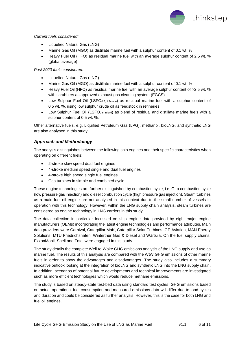

#### *Current fuels considered:*

- Liquefied Natural Gas (LNG)
- Marine Gas Oil (MGO) as distillate marine fuel with a sulphur content of 0.1 wt. %
- Heavy Fuel Oil (HFO) as residual marine fuel with an average sulphur content of 2.5 wt. % (global average)

*Post 2020 fuels considered:*

- Liquefied Natural Gas (LNG)
- Marine Gas Oil (MGO) as distillate marine fuel with a sulphur content of 0.1 wt. %
- Heavy Fuel Oil (HFO) as residual marine fuel with an average sulphur content of >2.5 wt. % with scrubbers as approved exhaust gas cleaning system (EGCS)
- Low Sulphur Fuel Oil (LSFO<sub>0.5, LScrude</sub>) as residual marine fuel with a sulphur content of 0.5 wt. %, using low sulphur crude oil as feedstock in refineries
- Low Sulphur Fuel Oil (LSFO<sub>0.5, Blend</sub>) as blend of residual and distillate marine fuels with a sulphur content of 0.5 wt. %.

Other alternative fuels, e.g. Liquified Petroleum Gas (LPG), methanol, bioLNG, and synthetic LNG are also analysed in this study.

#### *Approach and Methodology*

The analysis distinguishes between the following ship engines and their specific characteristics when operating on different fuels:

- 2-stroke slow speed dual fuel engines
- 4-stroke medium speed single and dual fuel engines
- 4-stroke high speed single fuel engines
- Gas turbines in simple and combined cycle.

These engine technologies are further distinguished by combustion cycle, i.e. Otto combustion cycle (low pressure gas injection) and diesel combustion cycle (high pressure gas injection). Steam turbines as a main fuel oil engine are not analysed in this context due to the small number of vessels in operation with this technology. However, within the LNG supply chain analysis, steam turbines are considered as engine technology in LNG carriers in this study.

The data collection in particular focussed on ship engine data provided by eight major engine manufacturers (OEMs) incorporating the latest engine technologies and performance attributes. Main data providers were Carnival, Caterpillar MaK, Caterpillar Solar Turbines, GE Aviation, MAN Energy Solutions, MTU Friedrichshafen, Winterthur Gas & Diesel and Wärtsilä. On the fuel supply chains, ExxonMobil, Shell and Total were engaged in this study.

The study details the complete Well-to-Wake GHG emissions analysis of the LNG supply and use as marine fuel. The results of this analysis are compared with the WtW GHG emissions of other marine fuels in order to show the advantages and disadvantages. The study also includes a summary indicative outlook looking at the integration of bioLNG and synthetic LNG into the LNG supply chain. In addition, scenarios of potential future developments and technical improvements are investigated such as more efficient technologies which would reduce methane emissions.

The study is based on steady-state test-bed data using standard test cycles. GHG emissions based on actual operational fuel consumption and measured emissions data will differ due to load cycles and duration and could be considered as further analysis. However, this is the case for both LNG and fuel oil engines.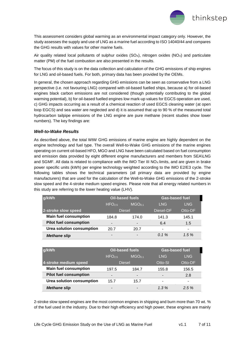

This assessment considers global warming as an environmental impact category only. However, the study assesses the supply and use of LNG as a marine fuel according to ISO 14040/44 and compares the GHG results with values for other marine fuels.

Air quality related local pollutants of sulphur oxides ( $SO<sub>x</sub>$ ), nitrogen oxides ( $NO<sub>x</sub>$ ) and particulate matter (PM) of the fuel combustion are also presented in the results.

The focus of this study is on the data collection and calculation of the GHG emissions of ship engines for LNG and oil-based fuels. For both, primary data has been provided by the OEMs.

In general, the chosen approach regarding GHG emissions can be seen as conservative from a LNG perspective (i.e. not favouring LNG) compared with oil-based fuelled ships, because a) for oil-based engines black carbon emissions are not considered (though potentially contributing to the global warming potential), b) for oil-based fuelled engines low mark-up values for EGCS operation are used, c) GHG impacts occurring as a result of a chemical reaction of used EGCS cleaning water (at open loop EGCS) and sea water are neglected and d) it is assumed that up to 90 % of the measured total hydrocarbon tailpipe emissions of the LNG engine are pure methane (recent studies show lower numbers). The key findings are:

#### *Well-to-Wake Results*

As described above, the total WtW GHG emissions of marine engine are highly dependent on the engine technology and fuel type. The overall Well-to-Wake GHG emissions of the marine engines operating on current oil-based HFO, MGO and LNG have been calculated based on fuel consumption and emission data provided by eight different engine manufacturers and members from SEA\LNG and SGMF. All data is related to compliance with the IMO Tier III NO<sub>X</sub> limits, and are given in brake power specific units (kWh) per engine technology weighted according to the IMO E2/E3 cycle. The following tables shows the technical parameters (all primary data are provided by engine manufacturers) that are used for the calculation of the Well-to-Wake GHG emissions of the 2-stroke slow speed and the 4-stroke medium speed engines. Please note that all energy related numbers in this study are referring to the lower heating value (LHV).

| g/kWh                         | <b>Oil-based fuels</b>   |                    | <b>Gas-based fuel</b> |         |
|-------------------------------|--------------------------|--------------------|-----------------------|---------|
|                               | HFO <sub>25</sub>        | MGO <sub>0.1</sub> | <b>LNG</b>            | LNG     |
| 2-stroke slow speed           | <b>Diesel</b>            |                    | Diesel-DF             | Otto-DF |
| <b>Main fuel consumption</b>  | 184.8                    | 174.0              | 141.3                 | 145.1   |
| <b>Pilot fuel consumption</b> | $\overline{\phantom{a}}$ | -                  | 6.4                   | 1.5     |
| Urea solution consumption     | 20.7                     | 20.7               | -                     |         |
| <b>Methane slip</b>           | -                        | -                  | $0.1\%$               | 1.5%    |

| g/kWh                         | <b>Oil-based fuels</b>   |                          | <b>Gas-based fuel</b> |            |
|-------------------------------|--------------------------|--------------------------|-----------------------|------------|
|                               | HFO <sub>25</sub>        | MGO <sub>0.1</sub>       | <b>LNG</b>            | <b>LNG</b> |
| 4-stroke medium speed         | <b>Diesel</b>            |                          | Otto-SI               | Otto-DF    |
| <b>Main fuel consumption</b>  | 197.5                    | 184.7                    | 155.8                 | 156.5      |
| <b>Pilot fuel consumption</b> | $\overline{\phantom{0}}$ | $\overline{\phantom{0}}$ |                       | 2.8        |
| Urea solution consumption     | 15.7                     | 15.7                     | -                     | -          |
| <b>Methane slip</b>           | $\overline{\phantom{a}}$ | -                        | $1.3\%$               | 2.5%       |

2-stroke slow speed engines are the most common engines in shipping and burn more than 70 wt. % of the fuel used in the industry. Due to their high efficiency and high power, these engines are mainly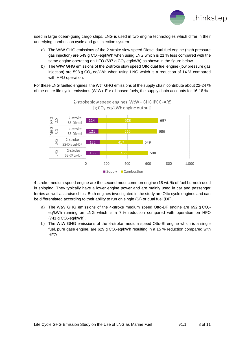

used in large ocean-going cargo ships. LNG is used in two engine technologies which differ in their underlying combustion cycle and gas injection system.

- a) The WtW GHG emissions of the 2-stroke slow speed Diesel dual fuel engine (high pressure gas injection) are 549 g CO<sub>2</sub>-eq/kWh when using LNG which is 21 % less compared with the same engine operating on HFO (697 g CO<sub>2</sub>-eq/kWh) as shown in the figure below.
- b) The WtW GHG emissions of the 2-stroke slow speed Otto dual fuel engine (low pressure gas injection) are 598 g CO2-eq/kWh when using LNG which is a reduction of 14 % compared with HFO operation.

For these LNG fuelled engines, the WtT GHG emissions of the supply chain contribute about 22-24 % of the entire life cycle emissions (WtW). For oil-based fuels, the supply chain accounts for 16-18 %.



2-stroke slow speed engines: WtW - GHG IPCC -AR5 [g CO<sub>2</sub>-eq/kWh engine output]

4-stroke medium speed engine are the second most common engine (18 wt. % of fuel burned) used in shipping. They typically have a lower engine power and are mainly used in car and passenger ferries as well as cruise ships. Both engines investigated in the study are Otto cycle engines and can be differentiated according to their ability to run on single (SI) or dual fuel (DF).

- a) The WtW GHG emissions of the 4-stroke medium speed Otto-DF engine are 692 g CO2eq/kWh running on LNG which is a 7 % reduction compared with operation on HFO  $(741 g CO<sub>2</sub>-eq/kWh).$
- b) The WtW GHG emissions of the 4-stroke medium speed Otto-SI engine which is a single fuel, pure gase engine, are 629 g CO<sub>2</sub>-eq/kWh resulting in a 15 % reduction compared with HFO.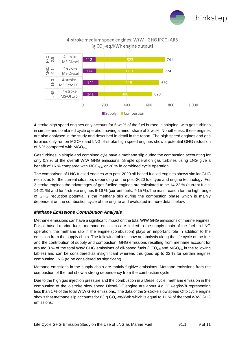



### 4-stroke medium speed engines: WtW - GHG IPCC -AR5 [g  $CO_2$ -eq/kWh engine output]

4-stroke high speed engines only account for 6 wt.% of the fuel burned in shipping, with gas turbines in simple and combined cycle operation having a minor share of 2 wt.%. Nonetheless, these engines are also analysed in the study and described in detail in the report. The high speed engines and gas turbines only run on  $MGO_{0.1}$  and LNG. 4-stroke high speed engines show a potential GHG reduction of 5 % compared with  $MGO_{0.1}$ .

Gas turbines in simple and combined cyle have a methane slip during the combustion accounting for only 0.3 % of the overall WtW GHG emissions. Simple operation gas turbines using LNG give a benefit of 16 % compared with  $MGO<sub>0.1</sub>$ , or 20 % in combined cycle operation.

The comparison of LNG fuelled engines with post-2020 oil-based fuelled engines shows similar GHG results as for the current situation, depending on the post-2020 fuel type and engine technology. For 2-stroke engines the advantages of gas fuelled engines are calculated to be 14-22 % (current fuels: 14-21 %) and for 4-stroke engines 6-16 % (current fuels: 7-15 %).The main reason for the high range of GHG reduction potential is the methane slip during the combustion phase which is mainly dependent on the combustion cycle of the engine and evaluated in more detail below.

#### *Methane Emissions Contribution Analysis*

Methane emissions can have a significant impact on the total WtW GHG emissions of marine engines. For oil-based marine fuels, methane emissions are limited to the supply chain of the fuel. In LNG operation, the methane slip in the engine (combustion) plays an important role in addition to the emission from the supply chain. The following tables show an analysis along the life cycle of the fuel and the contribution of supply and combustion. GHG emissions resulting from methane account for around 3 % of the total WtW GHG emissions of oil-based fuels (HFO<sub>2.5</sub> and MGO<sub>0.1</sub> in the following tables) and can be considered as insignificant whereas this goes up to 22 % for certain engines combusting LNG (to be considered as significant).

Methane emissions in the supply chain are mainly fugitive emissions. Methane emissions from the combustion of the fuel show a strong dependency from the combustion cycle.

Due to the high gas injection pressure and the combustion in a Diesel cycle, methane emission in the combustion of the 2-stroke slow speed Diesel-DF engine are about 4 g  $CO<sub>2</sub>$ -eq/kWh representing less than 1 % of the total WtW GHG emissions. The data of the 2-stroke slow speed Otto cycle engine shows that methane slip accounts for 63 g  $CO<sub>2</sub>$ -eq/kWh which is equal to 11 % of the total WtW GHG emissions.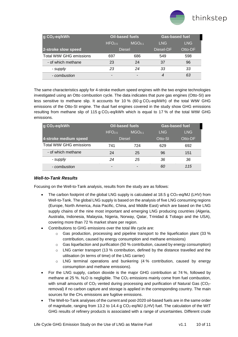

| g CO <sub>2</sub> -eq/kWh      | <b>Oil-based fuels</b> |                    | <b>Gas-based fuel</b> |         |
|--------------------------------|------------------------|--------------------|-----------------------|---------|
|                                | HFO <sub>2.5</sub>     | MGO <sub>0.1</sub> | LNG.                  | LNG.    |
| 2-stroke slow speed            | <b>Diesel</b>          |                    | Diesel-DF             | Otto-DF |
| <b>Total WtW GHG emissions</b> | 697                    | 686                | 549                   | 598     |
| - of which methane             | 23                     | 24                 | 37                    | 96      |
| - supply                       | 23                     | 24                 | 33                    | 33      |
| - combustion                   | -                      |                    | 4                     | 63      |

The same characteristics apply for 4-stroke medium speed engines with the two engine technologies investigated using an Otto combustion cycle. The data indicates that pure gas engines (Otto-SI) are less sensitive to methane slip. It accounts for 10 % (60 g CO<sub>2</sub>-eq/kWh) of the total WtW GHG emissions of the Otto-SI engine. The dual fuel engines covered in the study show GHG emissions resulting from methane slip of 115 g  $CO<sub>2</sub>$ -eg/kWh which is equal to 17 % of the total WtW GHG emissions.

| g CO <sub>2</sub> -eq/kWh      | <b>Oil-based fuels</b> |                    | <b>Gas-based fuel</b> |            |
|--------------------------------|------------------------|--------------------|-----------------------|------------|
|                                | HFO <sub>25</sub>      | MGO <sub>0.1</sub> | <b>LNG</b>            | <b>LNG</b> |
| 4-stroke medium speed          | <b>Diesel</b>          |                    | Otto-SI               | Otto-DF    |
| <b>Total WtW GHG emissions</b> | 741                    | 724                | 629                   | 692        |
| - of which methane             | 24                     | 25                 | 96                    | 151        |
| - supply                       | 24                     | 25                 | 36                    | 36         |
| - combustion                   | -                      | -                  | 60                    | 115        |

#### *Well-to-Tank Results*

Focusing on the Well-to-Tank analysis, results from the study are as follows:

- The carbon footprint of the global LNG supply is calculated at 18.5 g  $CO<sub>2</sub>$ -eq/MJ (LHV) from Well-to-Tank. The global LNG supply is based on the analysis of five LNG consuming regions (Europe, North America, Asia Pacific, China, and Middle East) which are based on the LNG supply chains of the nine most important and emerging LNG producing countries (Algeria, Australia, Indonesia, Malaysia, Nigeria, Norway, Qatar, Trinidad & Tobago and the USA), covering more than 72 % market share per region.
- Contributions to GHG emissions over the total life cycle are:
	- $\circ$  Gas production, processing and pipeline transport to the liquefication plant (33 %) contribution, caused by energy consumption and methane emissions)
	- $\circ$  Gas liquefaction and purification (50 % contribution, caused by energy consumption)
	- $\circ$  LNG carrier transport (13 % contribution, defined by the distance travelled and the utilisation (in terms of time) of the LNG carrier)
	- $\circ$  LNG terminal operations and bunkering (4 % contribution, caused by energy consumption and methane emissions).
- For the LNG supply, carbon dioxide is the major GHG contribution at 74 %, followed by methane at 25 %.  $N_2O$  is negligible. The  $CO_2$  emissions mainly come from fuel combustion, with small amounts of CO<sub>2</sub> vented during processing and purification of Natural Gas (CO<sub>2</sub>removal) if no carbon capture and storage is applied in the corresponding country. The main sources for the CH<sup>4</sup> emissions are fugitive emissions.
- The Well-to-Tank analyses of the current and post-2020 oil-based fuels are in the same order of magnitude, ranging from 13.2 to 14.4 g CO<sub>2</sub>-eq/MJ (LHV) fuel. The calculation of the WtT GHG results of refinery products is associated with a range of uncertainties. Different crude